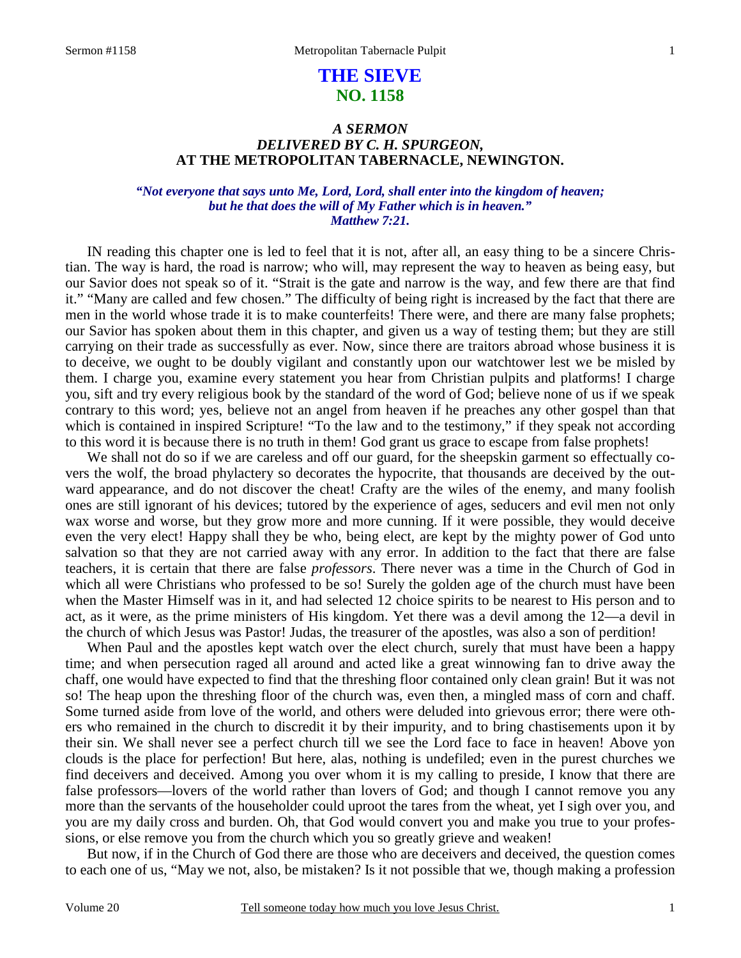# **THE SIEVE NO. 1158**

# *A SERMON DELIVERED BY C. H. SPURGEON,*  **AT THE METROPOLITAN TABERNACLE, NEWINGTON.**

#### *"Not everyone that says unto Me, Lord, Lord, shall enter into the kingdom of heaven; but he that does the will of My Father which is in heaven." Matthew 7:21.*

IN reading this chapter one is led to feel that it is not, after all, an easy thing to be a sincere Christian. The way is hard, the road is narrow; who will, may represent the way to heaven as being easy, but our Savior does not speak so of it. "Strait is the gate and narrow is the way, and few there are that find it." "Many are called and few chosen." The difficulty of being right is increased by the fact that there are men in the world whose trade it is to make counterfeits! There were, and there are many false prophets; our Savior has spoken about them in this chapter, and given us a way of testing them; but they are still carrying on their trade as successfully as ever. Now, since there are traitors abroad whose business it is to deceive, we ought to be doubly vigilant and constantly upon our watchtower lest we be misled by them. I charge you, examine every statement you hear from Christian pulpits and platforms! I charge you, sift and try every religious book by the standard of the word of God; believe none of us if we speak contrary to this word; yes, believe not an angel from heaven if he preaches any other gospel than that which is contained in inspired Scripture! "To the law and to the testimony," if they speak not according to this word it is because there is no truth in them! God grant us grace to escape from false prophets!

We shall not do so if we are careless and off our guard, for the sheepskin garment so effectually covers the wolf, the broad phylactery so decorates the hypocrite, that thousands are deceived by the outward appearance, and do not discover the cheat! Crafty are the wiles of the enemy, and many foolish ones are still ignorant of his devices; tutored by the experience of ages, seducers and evil men not only wax worse and worse, but they grow more and more cunning. If it were possible, they would deceive even the very elect! Happy shall they be who, being elect, are kept by the mighty power of God unto salvation so that they are not carried away with any error. In addition to the fact that there are false teachers, it is certain that there are false *professors*. There never was a time in the Church of God in which all were Christians who professed to be so! Surely the golden age of the church must have been when the Master Himself was in it, and had selected 12 choice spirits to be nearest to His person and to act, as it were, as the prime ministers of His kingdom. Yet there was a devil among the 12—a devil in the church of which Jesus was Pastor! Judas, the treasurer of the apostles, was also a son of perdition!

When Paul and the apostles kept watch over the elect church, surely that must have been a happy time; and when persecution raged all around and acted like a great winnowing fan to drive away the chaff, one would have expected to find that the threshing floor contained only clean grain! But it was not so! The heap upon the threshing floor of the church was, even then, a mingled mass of corn and chaff. Some turned aside from love of the world, and others were deluded into grievous error; there were others who remained in the church to discredit it by their impurity, and to bring chastisements upon it by their sin. We shall never see a perfect church till we see the Lord face to face in heaven! Above yon clouds is the place for perfection! But here, alas, nothing is undefiled; even in the purest churches we find deceivers and deceived. Among you over whom it is my calling to preside, I know that there are false professors—lovers of the world rather than lovers of God; and though I cannot remove you any more than the servants of the householder could uproot the tares from the wheat, yet I sigh over you, and you are my daily cross and burden. Oh, that God would convert you and make you true to your professions, or else remove you from the church which you so greatly grieve and weaken!

But now, if in the Church of God there are those who are deceivers and deceived, the question comes to each one of us, "May we not, also, be mistaken? Is it not possible that we, though making a profession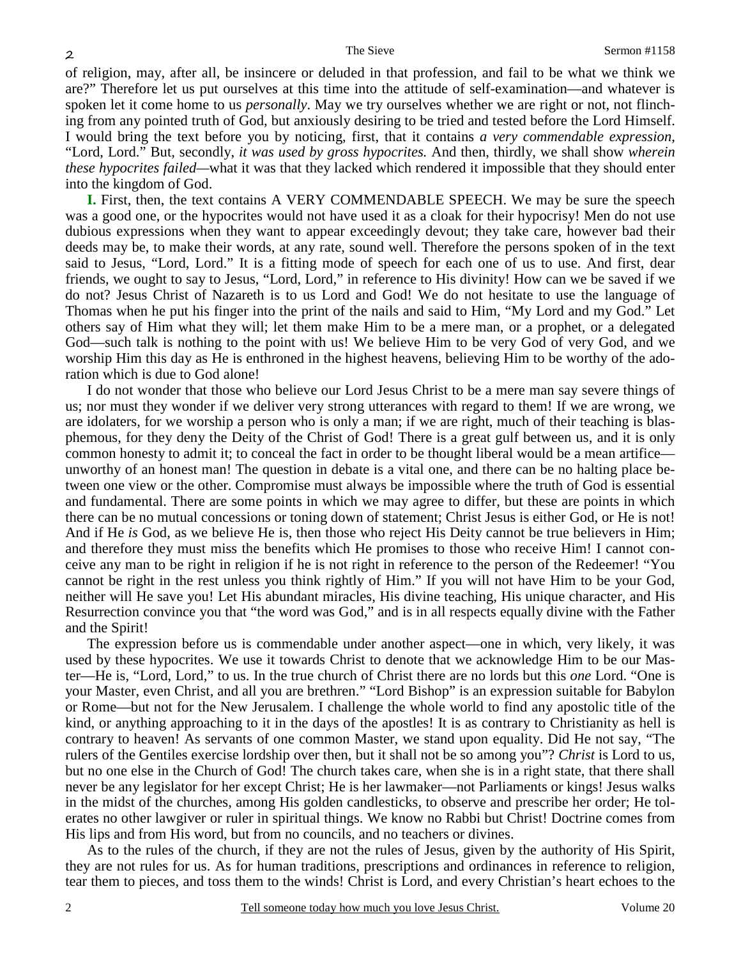of religion, may, after all, be insincere or deluded in that profession, and fail to be what we think we are?" Therefore let us put ourselves at this time into the attitude of self-examination—and whatever is spoken let it come home to us *personally*. May we try ourselves whether we are right or not, not flinching from any pointed truth of God, but anxiously desiring to be tried and tested before the Lord Himself. I would bring the text before you by noticing, first, that it contains *a very commendable expression*, "Lord, Lord." But, secondly, *it was used by gross hypocrites.* And then, thirdly, we shall show *wherein these hypocrites failed—*what it was that they lacked which rendered it impossible that they should enter into the kingdom of God.

**I.** First, then, the text contains A VERY COMMENDABLE SPEECH. We may be sure the speech was a good one, or the hypocrites would not have used it as a cloak for their hypocrisy! Men do not use dubious expressions when they want to appear exceedingly devout; they take care, however bad their deeds may be, to make their words, at any rate, sound well. Therefore the persons spoken of in the text said to Jesus, "Lord, Lord." It is a fitting mode of speech for each one of us to use. And first, dear friends, we ought to say to Jesus, "Lord, Lord," in reference to His divinity! How can we be saved if we do not? Jesus Christ of Nazareth is to us Lord and God! We do not hesitate to use the language of Thomas when he put his finger into the print of the nails and said to Him, "My Lord and my God." Let others say of Him what they will; let them make Him to be a mere man, or a prophet, or a delegated God—such talk is nothing to the point with us! We believe Him to be very God of very God, and we worship Him this day as He is enthroned in the highest heavens, believing Him to be worthy of the adoration which is due to God alone!

I do not wonder that those who believe our Lord Jesus Christ to be a mere man say severe things of us; nor must they wonder if we deliver very strong utterances with regard to them! If we are wrong, we are idolaters, for we worship a person who is only a man; if we are right, much of their teaching is blasphemous, for they deny the Deity of the Christ of God! There is a great gulf between us, and it is only common honesty to admit it; to conceal the fact in order to be thought liberal would be a mean artifice unworthy of an honest man! The question in debate is a vital one, and there can be no halting place between one view or the other. Compromise must always be impossible where the truth of God is essential and fundamental. There are some points in which we may agree to differ, but these are points in which there can be no mutual concessions or toning down of statement; Christ Jesus is either God, or He is not! And if He *is* God, as we believe He is, then those who reject His Deity cannot be true believers in Him; and therefore they must miss the benefits which He promises to those who receive Him! I cannot conceive any man to be right in religion if he is not right in reference to the person of the Redeemer! "You cannot be right in the rest unless you think rightly of Him." If you will not have Him to be your God, neither will He save you! Let His abundant miracles, His divine teaching, His unique character, and His Resurrection convince you that "the word was God," and is in all respects equally divine with the Father and the Spirit!

The expression before us is commendable under another aspect—one in which, very likely, it was used by these hypocrites. We use it towards Christ to denote that we acknowledge Him to be our Master—He is, "Lord, Lord," to us. In the true church of Christ there are no lords but this *one* Lord. "One is your Master, even Christ, and all you are brethren." "Lord Bishop" is an expression suitable for Babylon or Rome—but not for the New Jerusalem. I challenge the whole world to find any apostolic title of the kind, or anything approaching to it in the days of the apostles! It is as contrary to Christianity as hell is contrary to heaven! As servants of one common Master, we stand upon equality. Did He not say, "The rulers of the Gentiles exercise lordship over then, but it shall not be so among you"? *Christ* is Lord to us, but no one else in the Church of God! The church takes care, when she is in a right state, that there shall never be any legislator for her except Christ; He is her lawmaker—not Parliaments or kings! Jesus walks in the midst of the churches, among His golden candlesticks, to observe and prescribe her order; He tolerates no other lawgiver or ruler in spiritual things. We know no Rabbi but Christ! Doctrine comes from His lips and from His word, but from no councils, and no teachers or divines.

As to the rules of the church, if they are not the rules of Jesus, given by the authority of His Spirit, they are not rules for us. As for human traditions, prescriptions and ordinances in reference to religion, tear them to pieces, and toss them to the winds! Christ is Lord, and every Christian's heart echoes to the

2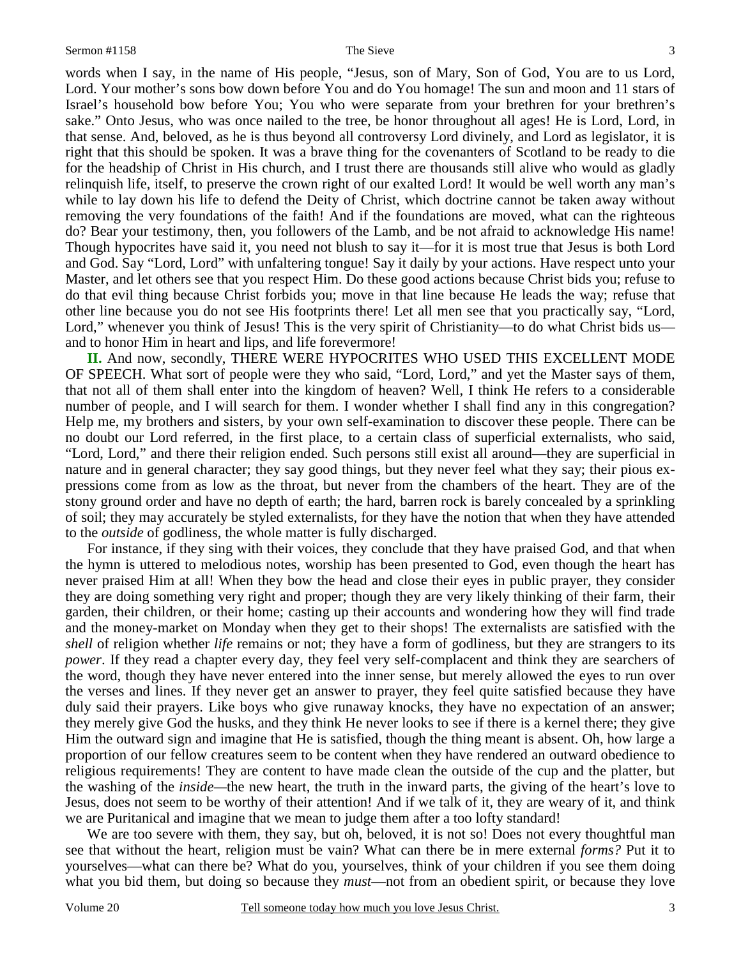3

words when I say, in the name of His people, "Jesus, son of Mary, Son of God, You are to us Lord, Lord. Your mother's sons bow down before You and do You homage! The sun and moon and 11 stars of Israel's household bow before You; You who were separate from your brethren for your brethren's sake." Onto Jesus, who was once nailed to the tree, be honor throughout all ages! He is Lord, Lord, in that sense. And, beloved, as he is thus beyond all controversy Lord divinely, and Lord as legislator, it is right that this should be spoken. It was a brave thing for the covenanters of Scotland to be ready to die for the headship of Christ in His church, and I trust there are thousands still alive who would as gladly relinquish life, itself, to preserve the crown right of our exalted Lord! It would be well worth any man's while to lay down his life to defend the Deity of Christ, which doctrine cannot be taken away without removing the very foundations of the faith! And if the foundations are moved, what can the righteous do? Bear your testimony, then, you followers of the Lamb, and be not afraid to acknowledge His name! Though hypocrites have said it, you need not blush to say it—for it is most true that Jesus is both Lord and God. Say "Lord, Lord" with unfaltering tongue! Say it daily by your actions. Have respect unto your Master, and let others see that you respect Him. Do these good actions because Christ bids you; refuse to do that evil thing because Christ forbids you; move in that line because He leads the way; refuse that other line because you do not see His footprints there! Let all men see that you practically say, "Lord, Lord," whenever you think of Jesus! This is the very spirit of Christianity—to do what Christ bids us and to honor Him in heart and lips, and life forevermore!

**II.** And now, secondly, THERE WERE HYPOCRITES WHO USED THIS EXCELLENT MODE OF SPEECH. What sort of people were they who said, "Lord, Lord," and yet the Master says of them, that not all of them shall enter into the kingdom of heaven? Well, I think He refers to a considerable number of people, and I will search for them. I wonder whether I shall find any in this congregation? Help me, my brothers and sisters, by your own self-examination to discover these people. There can be no doubt our Lord referred, in the first place, to a certain class of superficial externalists, who said, "Lord, Lord," and there their religion ended. Such persons still exist all around—they are superficial in nature and in general character; they say good things, but they never feel what they say; their pious expressions come from as low as the throat, but never from the chambers of the heart. They are of the stony ground order and have no depth of earth; the hard, barren rock is barely concealed by a sprinkling of soil; they may accurately be styled externalists, for they have the notion that when they have attended to the *outside* of godliness, the whole matter is fully discharged.

For instance, if they sing with their voices, they conclude that they have praised God, and that when the hymn is uttered to melodious notes, worship has been presented to God, even though the heart has never praised Him at all! When they bow the head and close their eyes in public prayer, they consider they are doing something very right and proper; though they are very likely thinking of their farm, their garden, their children, or their home; casting up their accounts and wondering how they will find trade and the money-market on Monday when they get to their shops! The externalists are satisfied with the *shell* of religion whether *life* remains or not; they have a form of godliness, but they are strangers to its *power*. If they read a chapter every day, they feel very self-complacent and think they are searchers of the word, though they have never entered into the inner sense, but merely allowed the eyes to run over the verses and lines. If they never get an answer to prayer, they feel quite satisfied because they have duly said their prayers. Like boys who give runaway knocks, they have no expectation of an answer; they merely give God the husks, and they think He never looks to see if there is a kernel there; they give Him the outward sign and imagine that He is satisfied, though the thing meant is absent. Oh, how large a proportion of our fellow creatures seem to be content when they have rendered an outward obedience to religious requirements! They are content to have made clean the outside of the cup and the platter, but the washing of the *inside—*the new heart, the truth in the inward parts, the giving of the heart's love to Jesus, does not seem to be worthy of their attention! And if we talk of it, they are weary of it, and think we are Puritanical and imagine that we mean to judge them after a too lofty standard!

We are too severe with them, they say, but oh, beloved, it is not so! Does not every thoughtful man see that without the heart, religion must be vain? What can there be in mere external *forms?* Put it to yourselves—what can there be? What do you, yourselves, think of your children if you see them doing what you bid them, but doing so because they *must*—not from an obedient spirit, or because they love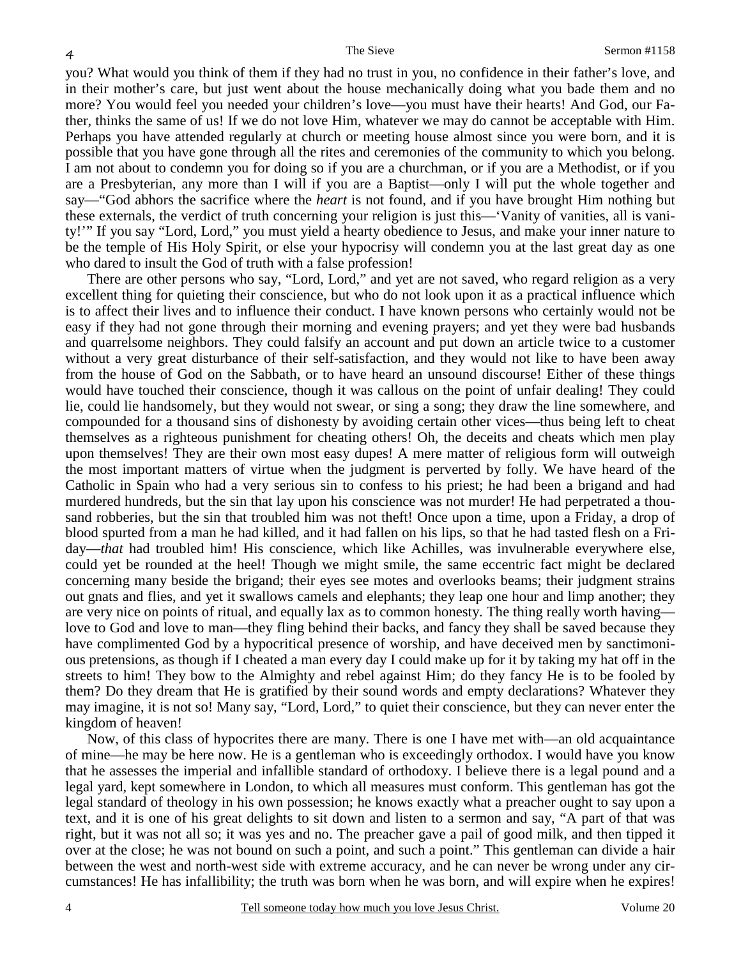you? What would you think of them if they had no trust in you, no confidence in their father's love, and in their mother's care, but just went about the house mechanically doing what you bade them and no more? You would feel you needed your children's love—you must have their hearts! And God, our Father, thinks the same of us! If we do not love Him, whatever we may do cannot be acceptable with Him. Perhaps you have attended regularly at church or meeting house almost since you were born, and it is possible that you have gone through all the rites and ceremonies of the community to which you belong. I am not about to condemn you for doing so if you are a churchman, or if you are a Methodist, or if you are a Presbyterian, any more than I will if you are a Baptist—only I will put the whole together and say—"God abhors the sacrifice where the *heart* is not found, and if you have brought Him nothing but these externals, the verdict of truth concerning your religion is just this—'Vanity of vanities, all is vanity!'" If you say "Lord, Lord," you must yield a hearty obedience to Jesus, and make your inner nature to be the temple of His Holy Spirit, or else your hypocrisy will condemn you at the last great day as one who dared to insult the God of truth with a false profession!

There are other persons who say, "Lord, Lord," and yet are not saved, who regard religion as a very excellent thing for quieting their conscience, but who do not look upon it as a practical influence which is to affect their lives and to influence their conduct. I have known persons who certainly would not be easy if they had not gone through their morning and evening prayers; and yet they were bad husbands and quarrelsome neighbors. They could falsify an account and put down an article twice to a customer without a very great disturbance of their self-satisfaction, and they would not like to have been away from the house of God on the Sabbath, or to have heard an unsound discourse! Either of these things would have touched their conscience, though it was callous on the point of unfair dealing! They could lie, could lie handsomely, but they would not swear, or sing a song; they draw the line somewhere, and compounded for a thousand sins of dishonesty by avoiding certain other vices—thus being left to cheat themselves as a righteous punishment for cheating others! Oh, the deceits and cheats which men play upon themselves! They are their own most easy dupes! A mere matter of religious form will outweigh the most important matters of virtue when the judgment is perverted by folly. We have heard of the Catholic in Spain who had a very serious sin to confess to his priest; he had been a brigand and had murdered hundreds, but the sin that lay upon his conscience was not murder! He had perpetrated a thousand robberies, but the sin that troubled him was not theft! Once upon a time, upon a Friday, a drop of blood spurted from a man he had killed, and it had fallen on his lips, so that he had tasted flesh on a Friday—*that* had troubled him! His conscience, which like Achilles, was invulnerable everywhere else, could yet be rounded at the heel! Though we might smile, the same eccentric fact might be declared concerning many beside the brigand; their eyes see motes and overlooks beams; their judgment strains out gnats and flies, and yet it swallows camels and elephants; they leap one hour and limp another; they are very nice on points of ritual, and equally lax as to common honesty. The thing really worth having love to God and love to man—they fling behind their backs, and fancy they shall be saved because they have complimented God by a hypocritical presence of worship, and have deceived men by sanctimonious pretensions, as though if I cheated a man every day I could make up for it by taking my hat off in the streets to him! They bow to the Almighty and rebel against Him; do they fancy He is to be fooled by them? Do they dream that He is gratified by their sound words and empty declarations? Whatever they may imagine, it is not so! Many say, "Lord, Lord," to quiet their conscience, but they can never enter the kingdom of heaven!

Now, of this class of hypocrites there are many. There is one I have met with—an old acquaintance of mine—he may be here now. He is a gentleman who is exceedingly orthodox. I would have you know that he assesses the imperial and infallible standard of orthodoxy. I believe there is a legal pound and a legal yard, kept somewhere in London, to which all measures must conform. This gentleman has got the legal standard of theology in his own possession; he knows exactly what a preacher ought to say upon a text, and it is one of his great delights to sit down and listen to a sermon and say, "A part of that was right, but it was not all so; it was yes and no. The preacher gave a pail of good milk, and then tipped it over at the close; he was not bound on such a point, and such a point." This gentleman can divide a hair between the west and north-west side with extreme accuracy, and he can never be wrong under any circumstances! He has infallibility; the truth was born when he was born, and will expire when he expires!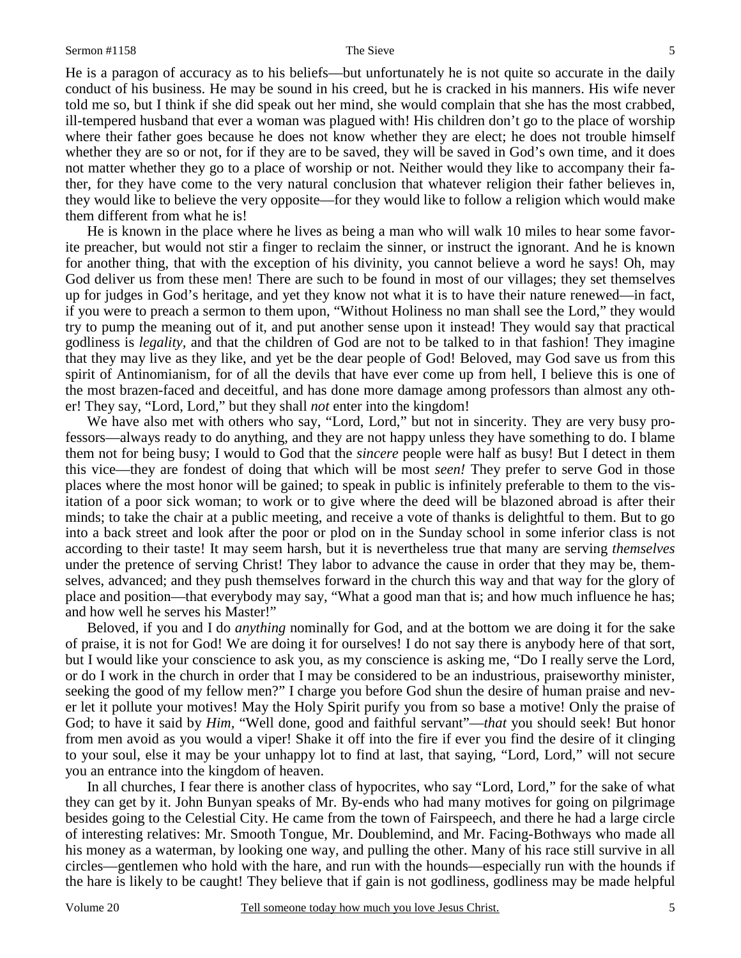He is a paragon of accuracy as to his beliefs—but unfortunately he is not quite so accurate in the daily conduct of his business. He may be sound in his creed, but he is cracked in his manners. His wife never told me so, but I think if she did speak out her mind, she would complain that she has the most crabbed, ill-tempered husband that ever a woman was plagued with! His children don't go to the place of worship where their father goes because he does not know whether they are elect; he does not trouble himself whether they are so or not, for if they are to be saved, they will be saved in God's own time, and it does not matter whether they go to a place of worship or not. Neither would they like to accompany their father, for they have come to the very natural conclusion that whatever religion their father believes in, they would like to believe the very opposite—for they would like to follow a religion which would make them different from what he is!

He is known in the place where he lives as being a man who will walk 10 miles to hear some favorite preacher, but would not stir a finger to reclaim the sinner, or instruct the ignorant. And he is known for another thing, that with the exception of his divinity, you cannot believe a word he says! Oh, may God deliver us from these men! There are such to be found in most of our villages; they set themselves up for judges in God's heritage, and yet they know not what it is to have their nature renewed—in fact, if you were to preach a sermon to them upon, "Without Holiness no man shall see the Lord," they would try to pump the meaning out of it, and put another sense upon it instead! They would say that practical godliness is *legality,* and that the children of God are not to be talked to in that fashion! They imagine that they may live as they like, and yet be the dear people of God! Beloved, may God save us from this spirit of Antinomianism, for of all the devils that have ever come up from hell, I believe this is one of the most brazen-faced and deceitful, and has done more damage among professors than almost any other! They say, "Lord, Lord," but they shall *not* enter into the kingdom!

We have also met with others who say, "Lord, Lord," but not in sincerity. They are very busy professors—always ready to do anything, and they are not happy unless they have something to do. I blame them not for being busy; I would to God that the *sincere* people were half as busy! But I detect in them this vice—they are fondest of doing that which will be most *seen!* They prefer to serve God in those places where the most honor will be gained; to speak in public is infinitely preferable to them to the visitation of a poor sick woman; to work or to give where the deed will be blazoned abroad is after their minds; to take the chair at a public meeting, and receive a vote of thanks is delightful to them. But to go into a back street and look after the poor or plod on in the Sunday school in some inferior class is not according to their taste! It may seem harsh, but it is nevertheless true that many are serving *themselves* under the pretence of serving Christ! They labor to advance the cause in order that they may be, themselves, advanced; and they push themselves forward in the church this way and that way for the glory of place and position—that everybody may say, "What a good man that is; and how much influence he has; and how well he serves his Master!"

Beloved, if you and I do *anything* nominally for God, and at the bottom we are doing it for the sake of praise, it is not for God! We are doing it for ourselves! I do not say there is anybody here of that sort, but I would like your conscience to ask you, as my conscience is asking me, "Do I really serve the Lord, or do I work in the church in order that I may be considered to be an industrious, praiseworthy minister, seeking the good of my fellow men?" I charge you before God shun the desire of human praise and never let it pollute your motives! May the Holy Spirit purify you from so base a motive! Only the praise of God; to have it said by *Him,* "Well done, good and faithful servant"—*that* you should seek! But honor from men avoid as you would a viper! Shake it off into the fire if ever you find the desire of it clinging to your soul, else it may be your unhappy lot to find at last, that saying, "Lord, Lord," will not secure you an entrance into the kingdom of heaven.

In all churches, I fear there is another class of hypocrites, who say "Lord, Lord," for the sake of what they can get by it. John Bunyan speaks of Mr. By-ends who had many motives for going on pilgrimage besides going to the Celestial City. He came from the town of Fairspeech, and there he had a large circle of interesting relatives: Mr. Smooth Tongue, Mr. Doublemind, and Mr. Facing-Bothways who made all his money as a waterman, by looking one way, and pulling the other. Many of his race still survive in all circles—gentlemen who hold with the hare, and run with the hounds—especially run with the hounds if the hare is likely to be caught! They believe that if gain is not godliness, godliness may be made helpful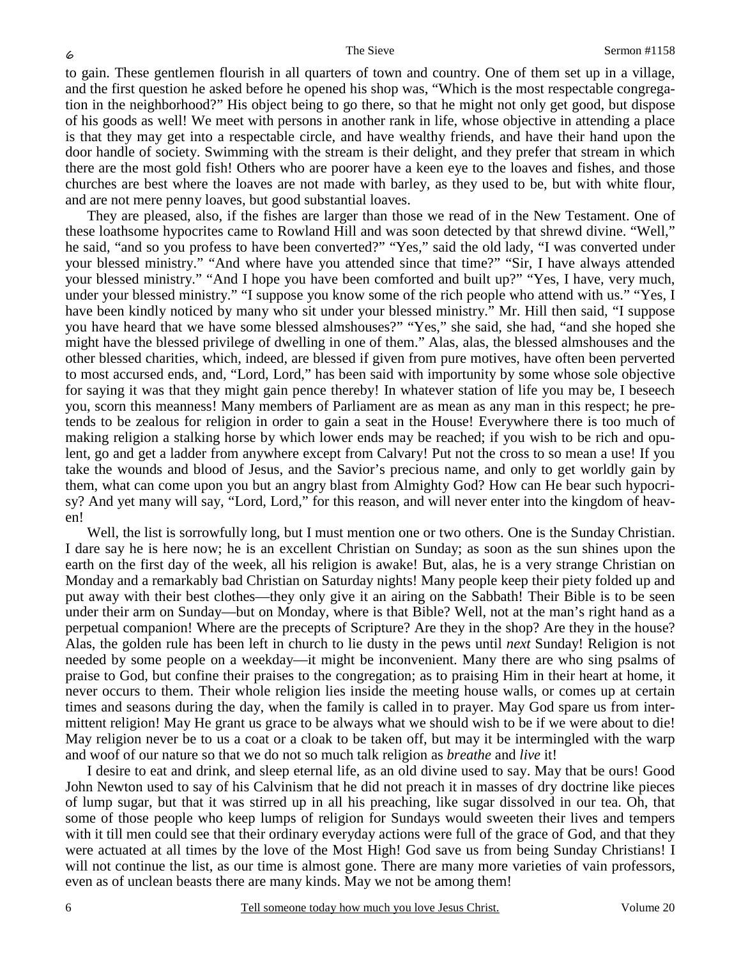to gain. These gentlemen flourish in all quarters of town and country. One of them set up in a village, and the first question he asked before he opened his shop was, "Which is the most respectable congregation in the neighborhood?" His object being to go there, so that he might not only get good, but dispose of his goods as well! We meet with persons in another rank in life, whose objective in attending a place is that they may get into a respectable circle, and have wealthy friends, and have their hand upon the door handle of society. Swimming with the stream is their delight, and they prefer that stream in which there are the most gold fish! Others who are poorer have a keen eye to the loaves and fishes, and those churches are best where the loaves are not made with barley, as they used to be, but with white flour, and are not mere penny loaves, but good substantial loaves.

They are pleased, also, if the fishes are larger than those we read of in the New Testament. One of these loathsome hypocrites came to Rowland Hill and was soon detected by that shrewd divine. "Well," he said, "and so you profess to have been converted?" "Yes," said the old lady, "I was converted under your blessed ministry." "And where have you attended since that time?" "Sir, I have always attended your blessed ministry." "And I hope you have been comforted and built up?" "Yes, I have, very much, under your blessed ministry." "I suppose you know some of the rich people who attend with us." "Yes, I have been kindly noticed by many who sit under your blessed ministry." Mr. Hill then said, "I suppose you have heard that we have some blessed almshouses?" "Yes," she said, she had, "and she hoped she might have the blessed privilege of dwelling in one of them." Alas, alas, the blessed almshouses and the other blessed charities, which, indeed, are blessed if given from pure motives, have often been perverted to most accursed ends, and, "Lord, Lord," has been said with importunity by some whose sole objective for saying it was that they might gain pence thereby! In whatever station of life you may be, I beseech you, scorn this meanness! Many members of Parliament are as mean as any man in this respect; he pretends to be zealous for religion in order to gain a seat in the House! Everywhere there is too much of making religion a stalking horse by which lower ends may be reached; if you wish to be rich and opulent, go and get a ladder from anywhere except from Calvary! Put not the cross to so mean a use! If you take the wounds and blood of Jesus, and the Savior's precious name, and only to get worldly gain by them, what can come upon you but an angry blast from Almighty God? How can He bear such hypocrisy? And yet many will say, "Lord, Lord," for this reason, and will never enter into the kingdom of heaven!

Well, the list is sorrowfully long, but I must mention one or two others. One is the Sunday Christian. I dare say he is here now; he is an excellent Christian on Sunday; as soon as the sun shines upon the earth on the first day of the week, all his religion is awake! But, alas, he is a very strange Christian on Monday and a remarkably bad Christian on Saturday nights! Many people keep their piety folded up and put away with their best clothes—they only give it an airing on the Sabbath! Their Bible is to be seen under their arm on Sunday—but on Monday, where is that Bible? Well, not at the man's right hand as a perpetual companion! Where are the precepts of Scripture? Are they in the shop? Are they in the house? Alas, the golden rule has been left in church to lie dusty in the pews until *next* Sunday! Religion is not needed by some people on a weekday—it might be inconvenient. Many there are who sing psalms of praise to God, but confine their praises to the congregation; as to praising Him in their heart at home, it never occurs to them. Their whole religion lies inside the meeting house walls, or comes up at certain times and seasons during the day, when the family is called in to prayer. May God spare us from intermittent religion! May He grant us grace to be always what we should wish to be if we were about to die! May religion never be to us a coat or a cloak to be taken off, but may it be intermingled with the warp and woof of our nature so that we do not so much talk religion as *breathe* and *live* it!

I desire to eat and drink, and sleep eternal life, as an old divine used to say. May that be ours! Good John Newton used to say of his Calvinism that he did not preach it in masses of dry doctrine like pieces of lump sugar, but that it was stirred up in all his preaching, like sugar dissolved in our tea. Oh, that some of those people who keep lumps of religion for Sundays would sweeten their lives and tempers with it till men could see that their ordinary everyday actions were full of the grace of God, and that they were actuated at all times by the love of the Most High! God save us from being Sunday Christians! I will not continue the list, as our time is almost gone. There are many more varieties of vain professors, even as of unclean beasts there are many kinds. May we not be among them!

6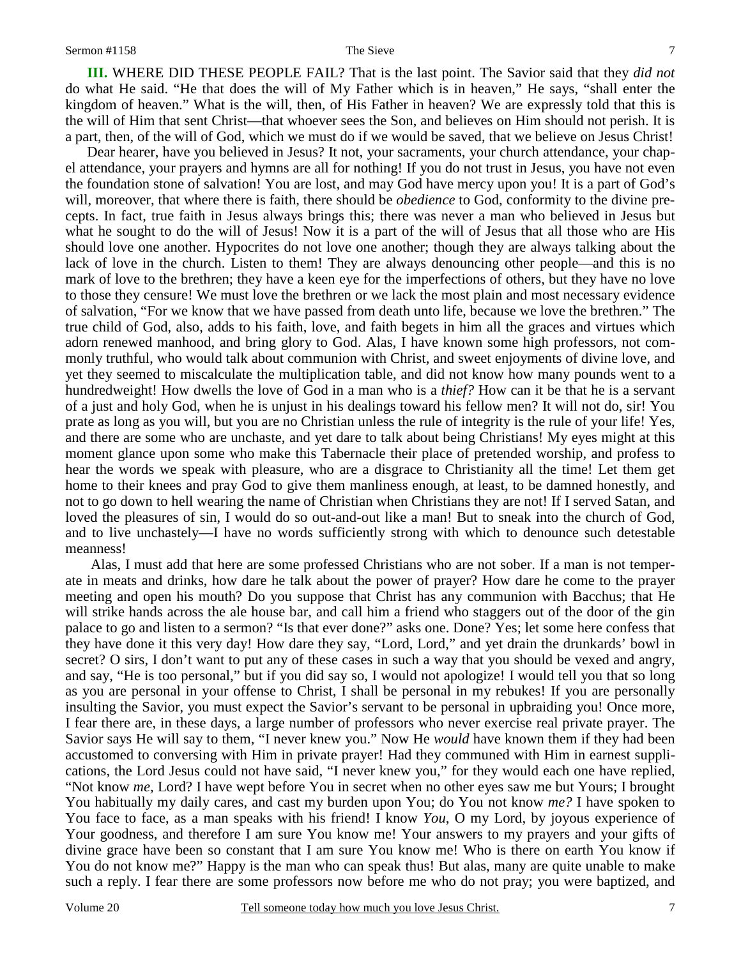**III.** WHERE DID THESE PEOPLE FAIL? That is the last point. The Savior said that they *did not* do what He said. "He that does the will of My Father which is in heaven," He says, "shall enter the kingdom of heaven." What is the will, then, of His Father in heaven? We are expressly told that this is the will of Him that sent Christ—that whoever sees the Son, and believes on Him should not perish. It is a part, then, of the will of God, which we must do if we would be saved, that we believe on Jesus Christ!

Dear hearer, have you believed in Jesus? It not, your sacraments, your church attendance, your chapel attendance, your prayers and hymns are all for nothing! If you do not trust in Jesus, you have not even the foundation stone of salvation! You are lost, and may God have mercy upon you! It is a part of God's will, moreover, that where there is faith, there should be *obedience* to God, conformity to the divine precepts. In fact, true faith in Jesus always brings this; there was never a man who believed in Jesus but what he sought to do the will of Jesus! Now it is a part of the will of Jesus that all those who are His should love one another. Hypocrites do not love one another; though they are always talking about the lack of love in the church. Listen to them! They are always denouncing other people—and this is no mark of love to the brethren; they have a keen eye for the imperfections of others, but they have no love to those they censure! We must love the brethren or we lack the most plain and most necessary evidence of salvation, "For we know that we have passed from death unto life, because we love the brethren." The true child of God, also, adds to his faith, love, and faith begets in him all the graces and virtues which adorn renewed manhood, and bring glory to God. Alas, I have known some high professors, not commonly truthful, who would talk about communion with Christ, and sweet enjoyments of divine love, and yet they seemed to miscalculate the multiplication table, and did not know how many pounds went to a hundredweight! How dwells the love of God in a man who is a *thief?* How can it be that he is a servant of a just and holy God, when he is unjust in his dealings toward his fellow men? It will not do, sir! You prate as long as you will, but you are no Christian unless the rule of integrity is the rule of your life! Yes, and there are some who are unchaste, and yet dare to talk about being Christians! My eyes might at this moment glance upon some who make this Tabernacle their place of pretended worship, and profess to hear the words we speak with pleasure, who are a disgrace to Christianity all the time! Let them get home to their knees and pray God to give them manliness enough, at least, to be damned honestly, and not to go down to hell wearing the name of Christian when Christians they are not! If I served Satan, and loved the pleasures of sin, I would do so out-and-out like a man! But to sneak into the church of God, and to live unchastely—I have no words sufficiently strong with which to denounce such detestable meanness!

 Alas, I must add that here are some professed Christians who are not sober. If a man is not temperate in meats and drinks, how dare he talk about the power of prayer? How dare he come to the prayer meeting and open his mouth? Do you suppose that Christ has any communion with Bacchus; that He will strike hands across the ale house bar, and call him a friend who staggers out of the door of the gin palace to go and listen to a sermon? "Is that ever done?" asks one. Done? Yes; let some here confess that they have done it this very day! How dare they say, "Lord, Lord," and yet drain the drunkards' bowl in secret? O sirs, I don't want to put any of these cases in such a way that you should be vexed and angry, and say, "He is too personal," but if you did say so, I would not apologize! I would tell you that so long as you are personal in your offense to Christ, I shall be personal in my rebukes! If you are personally insulting the Savior, you must expect the Savior's servant to be personal in upbraiding you! Once more, I fear there are, in these days, a large number of professors who never exercise real private prayer. The Savior says He will say to them, "I never knew you." Now He *would* have known them if they had been accustomed to conversing with Him in private prayer! Had they communed with Him in earnest supplications, the Lord Jesus could not have said, "I never knew you," for they would each one have replied, "Not know *me,* Lord? I have wept before You in secret when no other eyes saw me but Yours; I brought You habitually my daily cares, and cast my burden upon You; do You not know *me?* I have spoken to You face to face, as a man speaks with his friend! I know *You*, O my Lord, by joyous experience of Your goodness, and therefore I am sure You know me! Your answers to my prayers and your gifts of divine grace have been so constant that I am sure You know me! Who is there on earth You know if You do not know me?" Happy is the man who can speak thus! But alas, many are quite unable to make such a reply. I fear there are some professors now before me who do not pray; you were baptized, and